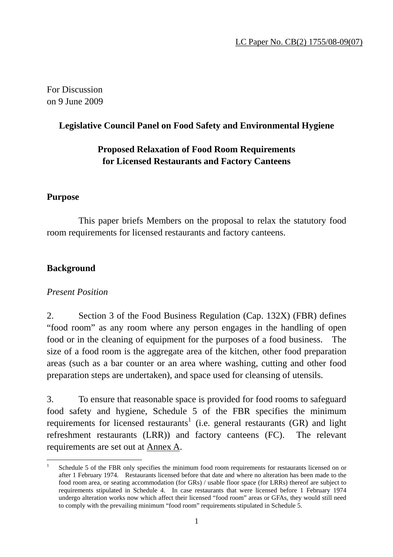For Discussion on 9 June 2009

#### **Legislative Council Panel on Food Safety and Environmental Hygiene**

### **Proposed Relaxation of Food Room Requirements for Licensed Restaurants and Factory Canteens**

#### **Purpose**

 This paper briefs Members on the proposal to relax the statutory food room requirements for licensed restaurants and factory canteens.

### **Background**

 $\overline{a}$ 

### *Present Position*

2. Section 3 of the Food Business Regulation (Cap. 132X) (FBR) defines "food room" as any room where any person engages in the handling of open food or in the cleaning of equipment for the purposes of a food business. The size of a food room is the aggregate area of the kitchen, other food preparation areas (such as a bar counter or an area where washing, cutting and other food preparation steps are undertaken), and space used for cleansing of utensils.

3. To ensure that reasonable space is provided for food rooms to safeguard food safety and hygiene, Schedule 5 of the FBR specifies the minimum requirements for licensed restaurants<sup>1</sup> (i.e. general restaurants (GR) and light refreshment restaurants (LRR)) and factory canteens (FC). The relevant requirements are set out at Annex A.

<sup>1</sup> Schedule 5 of the FBR only specifies the minimum food room requirements for restaurants licensed on or after 1 February 1974. Restaurants licensed before that date and where no alteration has been made to the food room area, or seating accommodation (for GRs) / usable floor space (for LRRs) thereof are subject to requirements stipulated in Schedule 4. In case restaurants that were licensed before 1 February 1974 undergo alteration works now which affect their licensed "food room" areas or GFAs, they would still need to comply with the prevailing minimum "food room" requirements stipulated in Schedule 5.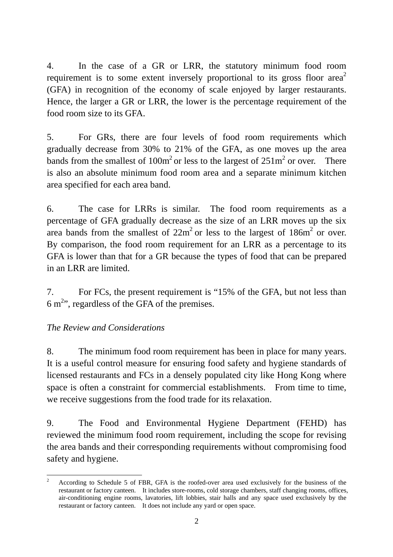4. In the case of a GR or LRR, the statutory minimum food room requirement is to some extent inversely proportional to its gross floor area<sup>2</sup> (GFA) in recognition of the economy of scale enjoyed by larger restaurants. Hence, the larger a GR or LRR, the lower is the percentage requirement of the food room size to its GFA.

5. For GRs, there are four levels of food room requirements which gradually decrease from 30% to 21% of the GFA, as one moves up the area bands from the smallest of  $100m^2$  or less to the largest of  $251m^2$  or over. There is also an absolute minimum food room area and a separate minimum kitchen area specified for each area band.

6. The case for LRRs is similar. The food room requirements as a percentage of GFA gradually decrease as the size of an LRR moves up the six area bands from the smallest of  $22m^2$  or less to the largest of  $186m^2$  or over. By comparison, the food room requirement for an LRR as a percentage to its GFA is lower than that for a GR because the types of food that can be prepared in an LRR are limited.

7. For FCs, the present requirement is "15% of the GFA, but not less than 6 m<sup>2</sup>", regardless of the GFA of the premises.

### *The Review and Considerations*

8. The minimum food room requirement has been in place for many years. It is a useful control measure for ensuring food safety and hygiene standards of licensed restaurants and FCs in a densely populated city like Hong Kong where space is often a constraint for commercial establishments. From time to time, we receive suggestions from the food trade for its relaxation.

9. The Food and Environmental Hygiene Department (FEHD) has reviewed the minimum food room requirement, including the scope for revising the area bands and their corresponding requirements without compromising food safety and hygiene.

 $\frac{1}{2}$  According to Schedule 5 of FBR, GFA is the roofed-over area used exclusively for the business of the restaurant or factory canteen. It includes store-rooms, cold storage chambers, staff changing rooms, offices, air-conditioning engine rooms, lavatories, lift lobbies, stair halls and any space used exclusively by the restaurant or factory canteen. It does not include any yard or open space.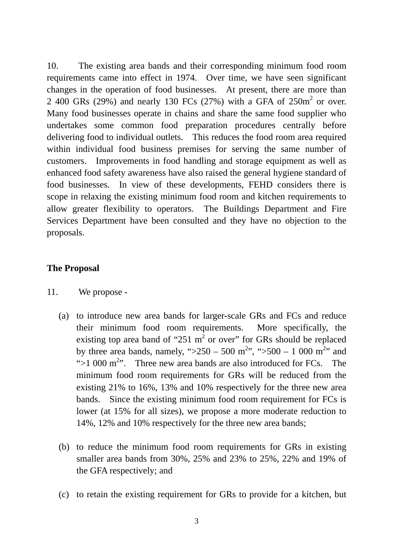10. The existing area bands and their corresponding minimum food room requirements came into effect in 1974. Over time, we have seen significant changes in the operation of food businesses. At present, there are more than 2 400 GRs (29%) and nearly 130 FCs (27%) with a GFA of  $250m^2$  or over. Many food businesses operate in chains and share the same food supplier who undertakes some common food preparation procedures centrally before delivering food to individual outlets. This reduces the food room area required within individual food business premises for serving the same number of customers. Improvements in food handling and storage equipment as well as enhanced food safety awareness have also raised the general hygiene standard of food businesses. In view of these developments, FEHD considers there is scope in relaxing the existing minimum food room and kitchen requirements to allow greater flexibility to operators. The Buildings Department and Fire Services Department have been consulted and they have no objection to the proposals.

#### **The Proposal**

- 11. We propose
	- (a) to introduce new area bands for larger-scale GRs and FCs and reduce their minimum food room requirements. More specifically, the existing top area band of "251  $m<sup>2</sup>$  or over" for GRs should be replaced by three area bands, namely, " $>250 - 500$  m<sup>2</sup>", " $>500 - 1000$  m<sup>2</sup>" and ">1 000  $m<sup>2</sup>$ ". Three new area bands are also introduced for FCs. The minimum food room requirements for GRs will be reduced from the existing 21% to 16%, 13% and 10% respectively for the three new area bands. Since the existing minimum food room requirement for FCs is lower (at 15% for all sizes), we propose a more moderate reduction to 14%, 12% and 10% respectively for the three new area bands;
	- (b) to reduce the minimum food room requirements for GRs in existing smaller area bands from 30%, 25% and 23% to 25%, 22% and 19% of the GFA respectively; and
	- (c) to retain the existing requirement for GRs to provide for a kitchen, but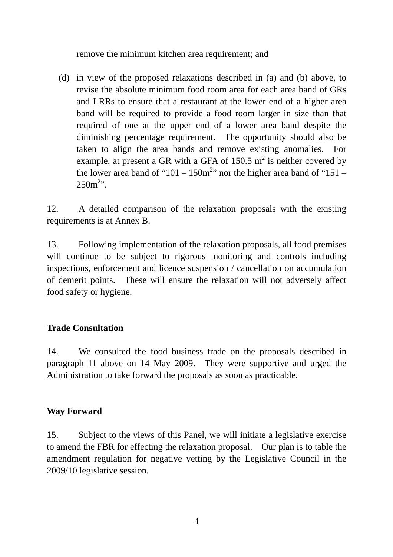remove the minimum kitchen area requirement; and

(d) in view of the proposed relaxations described in (a) and (b) above, to revise the absolute minimum food room area for each area band of GRs and LRRs to ensure that a restaurant at the lower end of a higher area band will be required to provide a food room larger in size than that required of one at the upper end of a lower area band despite the diminishing percentage requirement. The opportunity should also be taken to align the area bands and remove existing anomalies. For example, at present a GR with a GFA of 150.5  $m^2$  is neither covered by the lower area band of "101 – 150 $m<sup>2</sup>$ " nor the higher area band of "151 –  $250m^{2}$ ".

12. A detailed comparison of the relaxation proposals with the existing requirements is at Annex B.

13. Following implementation of the relaxation proposals, all food premises will continue to be subject to rigorous monitoring and controls including inspections, enforcement and licence suspension / cancellation on accumulation of demerit points. These will ensure the relaxation will not adversely affect food safety or hygiene.

### **Trade Consultation**

14. We consulted the food business trade on the proposals described in paragraph 11 above on 14 May 2009. They were supportive and urged the Administration to take forward the proposals as soon as practicable.

### **Way Forward**

15. Subject to the views of this Panel, we will initiate a legislative exercise to amend the FBR for effecting the relaxation proposal. Our plan is to table the amendment regulation for negative vetting by the Legislative Council in the 2009/10 legislative session.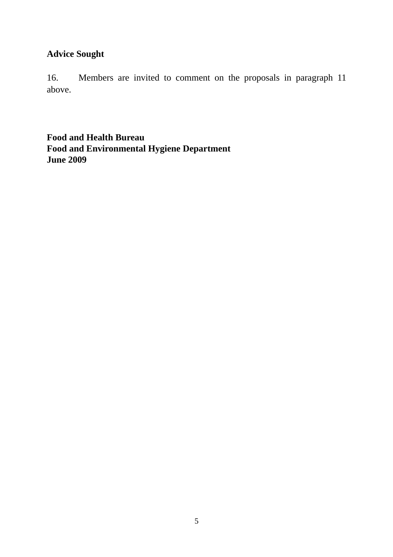## **Advice Sought**

16. Members are invited to comment on the proposals in paragraph 11 above.

**Food and Health Bureau Food and Environmental Hygiene Department June 2009**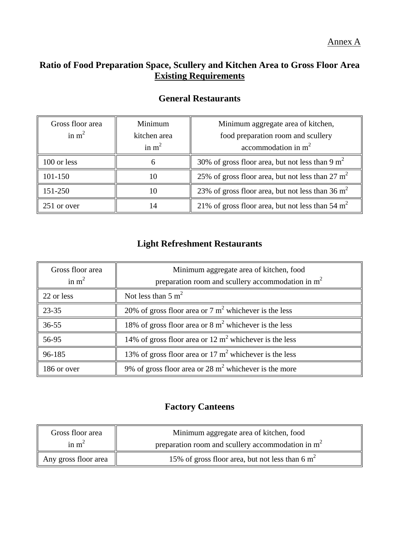Annex A

### **Ratio of Food Preparation Space, Scullery and Kitchen Area to Gross Floor Area Existing Requirements**

| Gross floor area | Minimum      | Minimum aggregate area of kitchen,                 |
|------------------|--------------|----------------------------------------------------|
| in $m2$          | kitchen area | food preparation room and scullery                 |
|                  | in $m2$      | accommodation in $m2$                              |
| 100 or less      | 6            | 30% of gross floor area, but not less than 9 $m2$  |
| 101-150          | 10           | 25% of gross floor area, but not less than 27 $m2$ |
| 151-250          | 10           | 23% of gross floor area, but not less than 36 $m2$ |
| 251 or over      | 14           | 21% of gross floor area, but not less than 54 $m2$ |

## **General Restaurants**

## **Light Refreshment Restaurants**

| Gross floor area | Minimum aggregate area of kitchen, food                          |  |
|------------------|------------------------------------------------------------------|--|
| in $m2$          | preparation room and scullery accommodation in $m2$              |  |
| 22 or less       | Not less than $5 \text{ m}^2$                                    |  |
| $23 - 35$        | 20% of gross floor area or $7 \text{ m}^2$ whichever is the less |  |
| $36 - 55$        | 18% of gross floor area or $8 \text{ m}^2$ whichever is the less |  |
| 56-95            | 14% of gross floor area or 12 $m2$ whichever is the less         |  |
| 96-185           | 13% of gross floor area or 17 $m2$ whichever is the less         |  |
| 186 or over      | 9% of gross floor area or 28 $m2$ whichever is the more          |  |

### **Factory Canteens**

| Gross floor area     | Minimum aggregate area of kitchen, food             |  |
|----------------------|-----------------------------------------------------|--|
| in $m^2$             | preparation room and scullery accommodation in $m2$ |  |
| Any gross floor area | 15% of gross floor area, but not less than 6 $m2$   |  |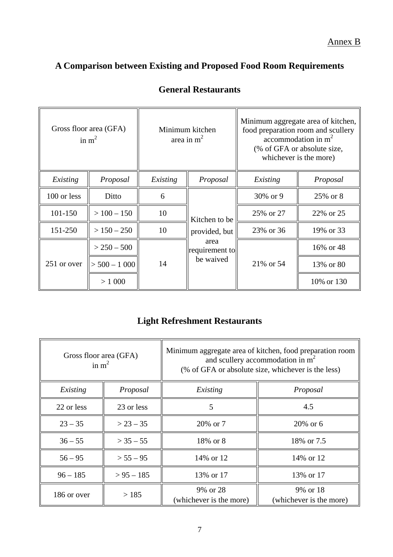Annex B

# **A Comparison between Existing and Proposed Food Room Requirements**

| Gross floor area (GFA)<br>in $m2$ |                   | Minimum kitchen<br>area in $m2$ |                                                                                                  | Minimum aggregate area of kitchen,<br>food preparation room and scullery<br>accommodation in $m2$<br>(% of GFA or absolute size,<br>whichever is the more) |            |
|-----------------------------------|-------------------|---------------------------------|--------------------------------------------------------------------------------------------------|------------------------------------------------------------------------------------------------------------------------------------------------------------|------------|
| Existing                          | Proposal          | Existing                        | Proposal                                                                                         | Existing                                                                                                                                                   | Proposal   |
| 100 or less                       | Ditto             | 6                               |                                                                                                  | 30% or 9                                                                                                                                                   | 25\% or 8  |
| 101-150                           | $> 100 - 150$     | 10                              | Kitchen to be<br>provided, but<br>area<br>$\left\Vert$ requirement to $\right\Vert$<br>be waived | 25% or 27                                                                                                                                                  | 22\% or 25 |
| 151-250                           | $> 150 - 250$     | 10                              |                                                                                                  | 23% or 36                                                                                                                                                  | 19% or 33  |
| 251 or over                       | $> 250 - 500$     | 14                              |                                                                                                  | 21\% or 54                                                                                                                                                 | 16% or 48  |
|                                   | $\geq 500 - 1000$ |                                 |                                                                                                  |                                                                                                                                                            | 13% or 80  |
|                                   | > 1000            |                                 |                                                                                                  |                                                                                                                                                            | 10% or 130 |

# **General Restaurants**

### **Light Refreshment Restaurants**

| Gross floor area (GFA)<br>in $m2$ |               | Minimum aggregate area of kitchen, food preparation room<br>and scullery accommodation in $m2$<br>(% of GFA or absolute size, whichever is the less) |                                     |  |
|-----------------------------------|---------------|------------------------------------------------------------------------------------------------------------------------------------------------------|-------------------------------------|--|
| Existing                          | Proposal      | Existing                                                                                                                                             | Proposal                            |  |
| 22 or less                        | 23 or less    | 5                                                                                                                                                    | 4.5                                 |  |
| $23 - 35$                         | $> 23 - 35$   | 20% or 7                                                                                                                                             | $20\%$ or 6                         |  |
| $36 - 55$                         | $>$ 35 $-$ 55 | 18% or 8                                                                                                                                             | 18% or 7.5                          |  |
| $56 - 95$                         | $> 55 - 95$   | 14% or 12                                                                                                                                            | 14\% or 12                          |  |
| $96 - 185$                        | $> 95 - 185$  | 13\% or 17                                                                                                                                           | 13% or 17                           |  |
| 186 or over                       | >185          | 9% or 28<br>(whichever is the more)                                                                                                                  | 9% or 18<br>(whichever is the more) |  |